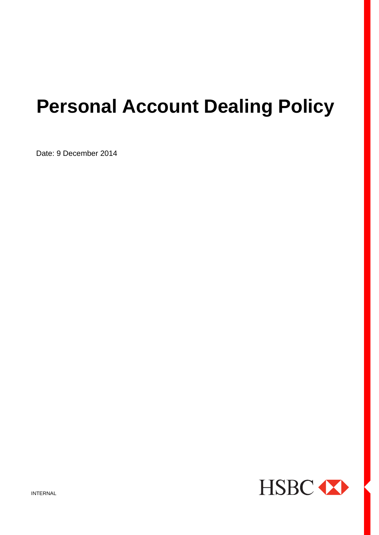# **Personal Account Dealing Policy**

Date: 9 December 2014

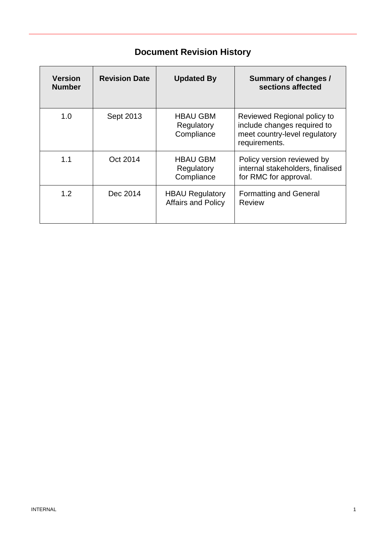## **Document Revision History**

| <b>Version</b><br><b>Number</b> | <b>Revision Date</b> | <b>Updated By</b>                            | <b>Summary of changes /</b><br>sections affected                                                             |
|---------------------------------|----------------------|----------------------------------------------|--------------------------------------------------------------------------------------------------------------|
| 1.0                             | Sept 2013            | <b>HBAU GBM</b><br>Regulatory<br>Compliance  | Reviewed Regional policy to<br>include changes required to<br>meet country-level regulatory<br>requirements. |
| 1.1                             | Oct 2014             | <b>HBAU GBM</b><br>Regulatory<br>Compliance  | Policy version reviewed by<br>internal stakeholders, finalised<br>for RMC for approval.                      |
| 1.2                             | Dec 2014             | <b>HBAU Regulatory</b><br>Affairs and Policy | <b>Formatting and General</b><br><b>Review</b>                                                               |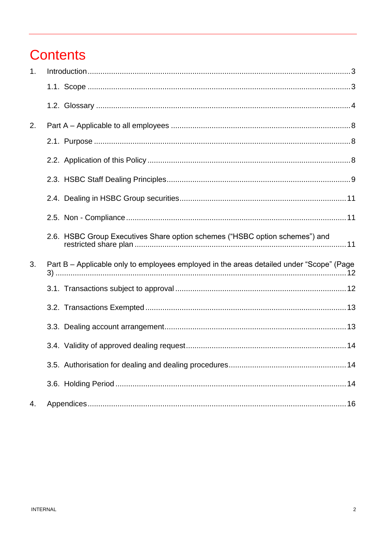## **Contents**

| 1. |                                                                                          |
|----|------------------------------------------------------------------------------------------|
|    |                                                                                          |
|    |                                                                                          |
| 2. |                                                                                          |
|    |                                                                                          |
|    |                                                                                          |
|    |                                                                                          |
|    |                                                                                          |
|    |                                                                                          |
|    | 2.6. HSBC Group Executives Share option schemes ("HSBC option schemes") and              |
| 3. | Part B – Applicable only to employees employed in the areas detailed under "Scope" (Page |
|    |                                                                                          |
|    |                                                                                          |
|    |                                                                                          |
|    |                                                                                          |
|    |                                                                                          |
|    |                                                                                          |
| 4. |                                                                                          |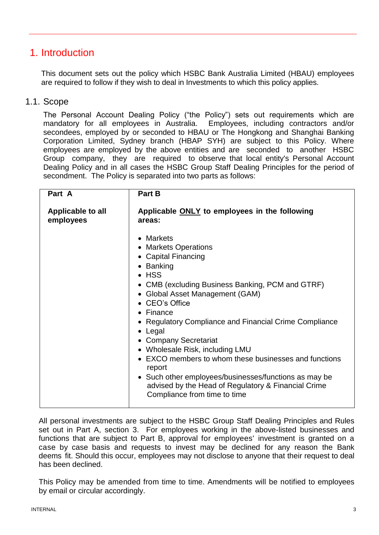### <span id="page-3-0"></span>1. Introduction

This document sets out the policy which HSBC Bank Australia Limited (HBAU) employees are required to follow if they wish to deal in Investments to which this policy applies.

#### <span id="page-3-1"></span>1.1. Scope

The Personal Account Dealing Policy ("the Policy") sets out requirements which are mandatory for all employees in Australia. Employees, including contractors and/or secondees, employed by or seconded to HBAU or The Hongkong and Shanghai Banking Corporation Limited, Sydney branch (HBAP SYH) are subject to this Policy. Where employees are employed by the above entities and are seconded to another HSBC Group company, they are required to observe that local entity's Personal Account Dealing Policy and in all cases the HSBC Group Staff Dealing Principles for the period of secondment. The Policy is separated into two parts as follows:

| Part A                         | <b>Part B</b>                                                                                                                                                                                                                                                                                                                                                                                                                                                                                                                                                                    |  |
|--------------------------------|----------------------------------------------------------------------------------------------------------------------------------------------------------------------------------------------------------------------------------------------------------------------------------------------------------------------------------------------------------------------------------------------------------------------------------------------------------------------------------------------------------------------------------------------------------------------------------|--|
| Applicable to all<br>employees | Applicable ONLY to employees in the following<br>areas:                                                                                                                                                                                                                                                                                                                                                                                                                                                                                                                          |  |
|                                | • Markets<br>• Markets Operations<br>• Capital Financing<br>• Banking<br>$\bullet$ HSS<br>• CMB (excluding Business Banking, PCM and GTRF)<br>• Global Asset Management (GAM)<br>• CEO's Office<br>$\bullet$ Finance<br>• Regulatory Compliance and Financial Crime Compliance<br>$\bullet$ Legal<br>• Company Secretariat<br>• Wholesale Risk, including LMU<br>• EXCO members to whom these businesses and functions<br>report<br>• Such other employees/businesses/functions as may be<br>advised by the Head of Regulatory & Financial Crime<br>Compliance from time to time |  |

All personal investments are subject to the HSBC Group Staff Dealing Principles and Rules set out in Part A, section 3. For employees working in the above-listed businesses and functions that are subject to Part B, approval for employees' investment is granted on a case by case basis and requests to invest may be declined for any reason the Bank deems fit. Should this occur, employees may not disclose to anyone that their request to deal has been declined.

This Policy may be amended from time to time. Amendments will be notified to employees by email or circular accordingly.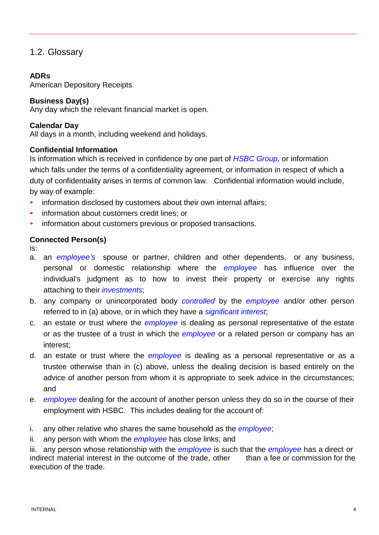#### <span id="page-4-0"></span>1.2. Glossary

#### **ADRs**

American Depository Receipts

#### **Business Day(s)**

Any day which the relevant financial market is open.

#### **Calendar Day**

All days in a month, including weekend and holidays.

#### **Confidential Information**

Is information which is received in confidence by one part of *HSBC Group*, or information which falls under the terms of a confidentiality agreement, or information in respect of which a duty of confidentiality arises in terms of common law. Confidential information would include, by way of example:

- information disclosed by customers about their own internal affairs;
- information about customers credit lines; or
- information about customers previous or proposed transactions.

#### **Connected Person(s)**

is:

- a. an *employee's* spouse or partner, children and other dependents, or any business, personal or domestic relationship where the *employee* has influence over the individual's judgment as to how to invest their property or exercise any rights attaching to their *investments*;
- b. any company or unincorporated body *controlled* by the *employee* and/or other person referred to in (a) above, or in which they have a *significant interest*;
- c. an estate or trust where the *employee* is dealing as personal representative of the estate or as the trustee of a trust in which the *employee* or a related person or company has an interest;
- d. an estate or trust where the *employee* is dealing as a personal representative or as a trustee otherwise than in (c) above, unless the dealing decision is based entirely on the advice of another person from whom it is appropriate to seek advice in the circumstances; and
- e. *employee* dealing for the account of another person unless they do so in the course of their employment with HSBC. This includes dealing for the account of:
- i. any other relative who shares the same household as the *employee*;
- ii. any person with whom the *employee* has close links; and

iii. any person whose relationship with the *employee* is such that the *employee* has a direct or indirect material interest in the outcome of the trade, other than a fee or commission for the execution of the trade.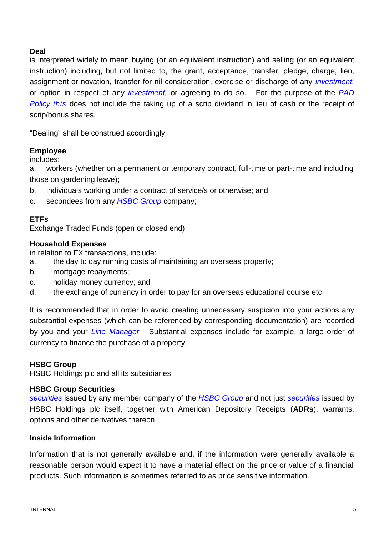#### **Deal**

is interpreted widely to mean buying (or an equivalent instruction) and selling (or an equivalent instruction) including, but not limited to, the grant, acceptance, transfer, pledge, charge, lien, assignment or novation, transfer for nil consideration, exercise or discharge of any *investment,* or option in respect of any *investment,* or agreeing to do so. For the purpose of the *PAD Policy this* does not include the taking up of a scrip dividend in lieu of cash or the receipt of scrip/bonus shares.

"Dealing" shall be construed accordingly.

#### **Employee**

includes:

a. workers (whether on a permanent or temporary contract, full-time or part-time and including those on gardening leave);

- b. individuals working under a contract of service/s or otherwise; and
- c. secondees from any *HSBC Group* company;

#### **ETFs**

Exchange Traded Funds (open or closed end)

#### **Household Expenses**

in relation to FX transactions, include:

- a. the day to day running costs of maintaining an overseas property;
- b. mortgage repayments;
- c. holiday money currency; and
- d. the exchange of currency in order to pay for an overseas educational course etc.

It is recommended that in order to avoid creating unnecessary suspicion into your actions any substantial expenses (which can be referenced by corresponding documentation) are recorded by you and your *Line Manager.* Substantial expenses include for example, a large order of currency to finance the purchase of a property.

#### **HSBC Group**

HSBC Holdings plc and all its subsidiaries

#### **HSBC Group Securities**

*securities* issued by any member company of the *HSBC Group* and not just *securities* issued by HSBC Holdings plc itself, together with American Depository Receipts (**ADRs**), warrants, options and other derivatives thereon

#### **Inside Information**

Information that is not generally available and, if the information were generally available a reasonable person would expect it to have a material effect on the price or value of a financial products. Such information is sometimes referred to as price sensitive information.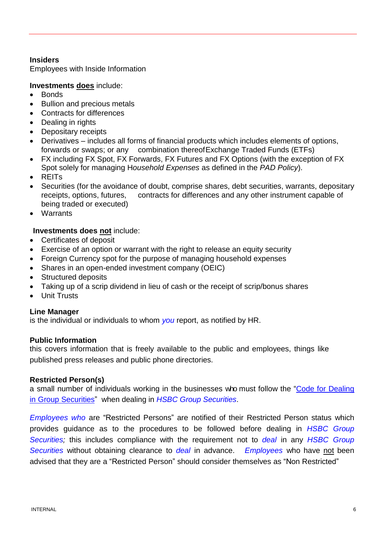#### **Insiders**

Employees with Inside Information

#### **Investments does** include:

- Bonds
- Bullion and precious metals
- Contracts for differences
- Dealing in rights
- Depositary receipts
- Derivatives includes all forms of financial products which includes elements of options, forwards or swaps; or any combination thereofExchange Traded Funds (ETFs)
- FX including FX Spot, FX Forwards, FX Futures and FX Options (with the exception of FX Spot solely for managing H*ousehold Expenses* as defined in the *PAD Policy*).
- REITs
- Securities (for the avoidance of doubt, comprise shares, debt securities, warrants, depositary receipts, options, futures, contracts for differences and any other instrument capable of being traded or executed)
- Warrants

#### **Investments does not** include:

- Certificates of deposit
- Exercise of an option or warrant with the right to release an equity security
- Foreign Currency spot for the purpose of managing household expenses
- Shares in an open-ended investment company (OEIC)
- Structured deposits
- Taking up of a scrip dividend in lieu of cash or the receipt of scrip/bonus shares
- Unit Trusts

#### **Line Manager**

is the individual or individuals to whom *you* report, as notified by HR.

#### **Public Information**

this covers information that is freely available to the public and employees, things like published press releases and public phone directories.

#### **Restricted Person(s)**

a small number of individuals working in the businesses who must follow the "Code for [Dealing](http://compliance.ghq.hsbc/compliance/home.nsf/ByRef/UKAP89YCF509525806102010/%24FILE/Code%20of%20Dealing.doc?Open) in Group [Securities"](http://compliance.ghq.hsbc/compliance/home.nsf/ByRef/UKAP89YCF509525806102010/%24FILE/Code%20of%20Dealing.doc?Open) when dealing in *HSBC Group Securities*.

*Employees who* are "Restricted Persons" are notified of their Restricted Person status which provides guidance as to the procedures to be followed before dealing in *HSBC Group Securities;* this includes compliance with the requirement not to *deal* in any *HSBC Group Securities* without obtaining clearance to *deal* in advance. *Employees* who have not been advised that they are a "Restricted Person" should consider themselves as "Non Restricted"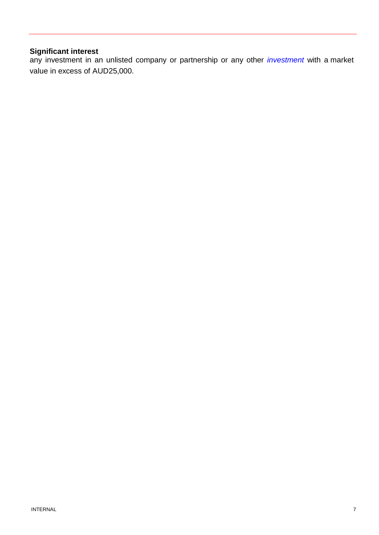#### **Significant interest**

any investment in an unlisted company or partnership or any other *investment* with a market value in excess of AUD25,000.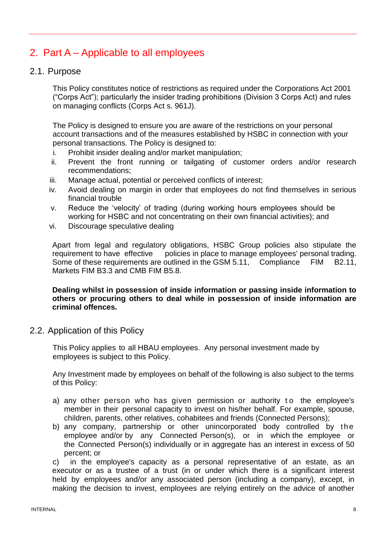## <span id="page-8-0"></span>2. Part A – Applicable to all employees

#### <span id="page-8-1"></span>2.1. Purpose

This Policy constitutes notice of restrictions as required under the Corporations Act 2001 ("Corps Act"); particularly the insider trading prohibitions (Division 3 Corps Act) and rules on managing conflicts (Corps Act s. 961J).

The Policy is designed to ensure you are aware of the restrictions on your personal account transactions and of the measures established by HSBC in connection with your personal transactions. The Policy is designed to:

- i. Prohibit insider dealing and/or market manipulation;
- ii. Prevent the front running or tailgating of customer orders and/or research recommendations;
- iii. Manage actual, potential or perceived conflicts of interest;
- iv. Avoid dealing on margin in order that employees do not find themselves in serious financial trouble
- v. Reduce the 'velocity' of trading (during working hours employees should be working for HSBC and not concentrating on their own financial activities); and
- vi. Discourage speculative dealing

Apart from legal and regulatory obligations, HSBC Group policies also stipulate the requirement to have effective policies in place to manage employees' personal trading. Some of these requirements are outlined in the GSM 5.11, Compliance FIM B2.11, Markets FIM B3.3 and CMB FIM B5.8.

**Dealing whilst in possession of inside information or passing inside information to others or procuring others to deal while in possession of inside information are criminal offences.**

<span id="page-8-2"></span>2.2. Application of this Policy

This Policy applies to all HBAU employees. Any personal investment made by employees is subject to this Policy.

Any Investment made by employees on behalf of the following is also subject to the terms of this Policy:

- a) any other person who has given permission or authority to the employee's member in their personal capacity to invest on his/her behalf. For example, spouse, children, parents, other relatives, cohabitees and friends (Connected Persons);
- b) any company, partnership or other unincorporated body controlled by the employee and/or by any Connected Person(s), or in which the employee or the Connected Person(s) individually or in aggregate has an interest in excess of 50 percent; or

c) in the employee's capacity as a personal representative of an estate, as an executor or as a trustee of a trust (in or under which there is a significant interest held by employees and/or any associated person (including a company), except, in making the decision to invest, employees are relying entirely on the advice of another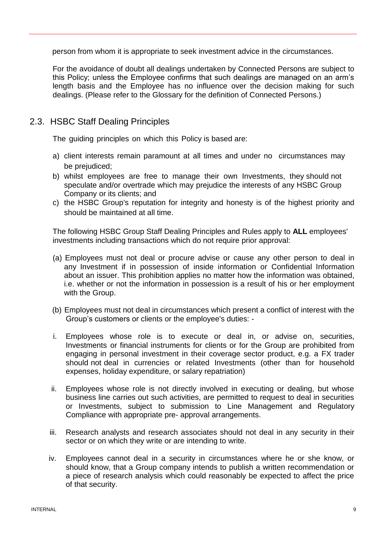person from whom it is appropriate to seek investment advice in the circumstances.

For the avoidance of doubt all dealings undertaken by Connected Persons are subject to this Policy; unless the Employee confirms that such dealings are managed on an arm's length basis and the Employee has no influence over the decision making for such dealings. (Please refer to the Glossary for the definition of Connected Persons.)

#### <span id="page-9-0"></span>2.3. HSBC Staff Dealing Principles

The guiding principles on which this Policy is based are:

- a) client interests remain paramount at all times and under no circumstances may be prejudiced;
- b) whilst employees are free to manage their own Investments, they should not speculate and/or overtrade which may prejudice the interests of any HSBC Group Company or its clients; and
- c) the HSBC Group's reputation for integrity and honesty is of the highest priority and should be maintained at all time.

The following HSBC Group Staff Dealing Principles and Rules apply to **ALL** employees' investments including transactions which do not require prior approval:

- (a) Employees must not deal or procure advise or cause any other person to deal in any Investment if in possession of inside information or Confidential Information about an issuer. This prohibition applies no matter how the information was obtained, i.e. whether or not the information in possession is a result of his or her employment with the Group.
- (b) Employees must not deal in circumstances which present a conflict of interest with the Group's customers or clients or the employee's duties: -
- i. Employees whose role is to execute or deal in, or advise on, securities, Investments or financial instruments for clients or for the Group are prohibited from engaging in personal investment in their coverage sector product, e.g. a FX trader should not deal in currencies or related Investments (other than for household expenses, holiday expenditure, or salary repatriation)
- ii. Employees whose role is not directly involved in executing or dealing, but whose business line carries out such activities, are permitted to request to deal in securities or Investments, subject to submission to Line Management and Regulatory Compliance with appropriate pre- approval arrangements.
- iii. Research analysts and research associates should not deal in any security in their sector or on which they write or are intending to write.
- iv. Employees cannot deal in a security in circumstances where he or she know, or should know, that a Group company intends to publish a written recommendation or a piece of research analysis which could reasonably be expected to affect the price of that security.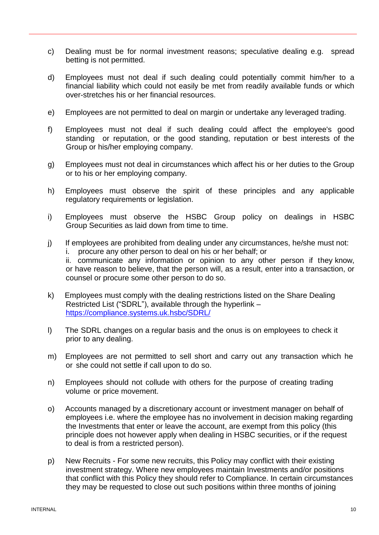- c) Dealing must be for normal investment reasons; speculative dealing e.g. spread betting is not permitted.
- d) Employees must not deal if such dealing could potentially commit him/her to a financial liability which could not easily be met from readily available funds or which over-stretches his or her financial resources.
- e) Employees are not permitted to deal on margin or undertake any leveraged trading.
- f) Employees must not deal if such dealing could affect the employee's good standing or reputation, or the good standing, reputation or best interests of the Group or his/her employing company.
- g) Employees must not deal in circumstances which affect his or her duties to the Group or to his or her employing company.
- h) Employees must observe the spirit of these principles and any applicable regulatory requirements or legislation.
- i) Employees must observe the HSBC Group policy on dealings in HSBC Group Securities as laid down from time to time.
- j) If employees are prohibited from dealing under any circumstances, he/she must not: i. procure any other person to deal on his or her behalf; or ii. communicate any information or opinion to any other person if they know, or have reason to believe, that the person will, as a result, enter into a transaction, or counsel or procure some other person to do so.
- k) Employees must comply with the dealing restrictions listed on the Share Dealing Restricted List ("SDRL"), available through the hyperlink – <https://compliance.systems.uk.hsbc/SDRL/>
- l) The SDRL changes on a regular basis and the onus is on employees to check it prior to any dealing.
- m) Employees are not permitted to sell short and carry out any transaction which he or she could not settle if call upon to do so.
- n) Employees should not collude with others for the purpose of creating trading volume or price movement.
- o) Accounts managed by a discretionary account or investment manager on behalf of employees i.e. where the employee has no involvement in decision making regarding the Investments that enter or leave the account, are exempt from this policy (this principle does not however apply when dealing in HSBC securities, or if the request to deal is from a restricted person).
- p) New Recruits For some new recruits, this Policy may conflict with their existing investment strategy. Where new employees maintain Investments and/or positions that conflict with this Policy they should refer to Compliance. In certain circumstances they may be requested to close out such positions within three months of joining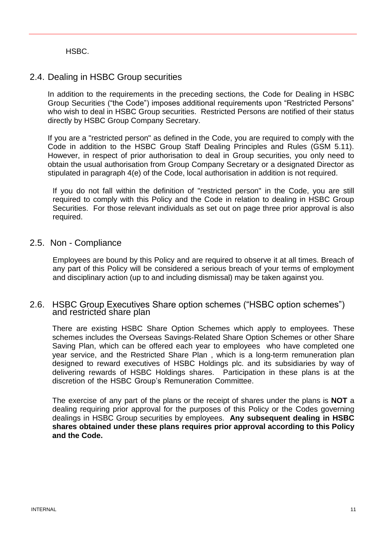HSBC.

#### <span id="page-11-0"></span>2.4. Dealing in HSBC Group securities

In addition to the requirements in the preceding sections, the [Code for Dealing in HSBC](http://fim.ghq.hsbc/FIM/home.nsf/ByRef/EMEA75UAVP08335207082007?Open)  [Group Securities](http://fim.ghq.hsbc/FIM/home.nsf/ByRef/EMEA75UAVP08335207082007?Open) ("the Code") imposes additional requirements upon "Restricted Persons" who wish to deal in HSBC Group securities. Restricted Persons are notified of their status directly by HSBC Group Company Secretary.

If you are a "restricted person" as defined in the Code, you are required to comply with the Code in addition to the HSBC Group Staff Dealing Principles and Rules (GSM 5.11). However, in respect of prior authorisation to deal in Group securities, you only need to obtain the usual authorisation from Group Company Secretary or a designated Director as stipulated in paragraph 4(e) of the Code, local authorisation in addition is not required.

If you do not fall within the definition of "restricted person" in the Code, you are still required to comply with this Policy and the Code in relation to dealing in HSBC Group Securities. For those relevant individuals as set out on page three prior approval is also required.

#### <span id="page-11-1"></span>2.5. Non - Compliance

Employees are bound by this Policy and are required to observe it at all times. Breach of any part of this Policy will be considered a serious breach of your terms of employment and disciplinary action (up to and including dismissal) may be taken against you.

#### <span id="page-11-2"></span>2.6. HSBC Group Executives Share option schemes ("HSBC option schemes") and restricted share plan

There are existing HSBC Share Option Schemes which apply to employees. These schemes includes the Overseas Savings-Related Share Option Schemes or other Share Saving Plan, which can be offered each year to employees who have completed one year service, and the Restricted Share Plan , which is a long-term remuneration plan designed to reward executives of HSBC Holdings plc. and its subsidiaries by way of delivering rewards of HSBC Holdings shares. Participation in these plans is at the discretion of the HSBC Group's Remuneration Committee.

The exercise of any part of the plans or the receipt of shares under the plans is **NOT** a dealing requiring prior approval for the purposes of this Policy or the Codes governing dealings in HSBC Group securities by employees. **Any subsequent dealing in HSBC shares obtained under these plans requires prior approval according to this Policy and the Code.**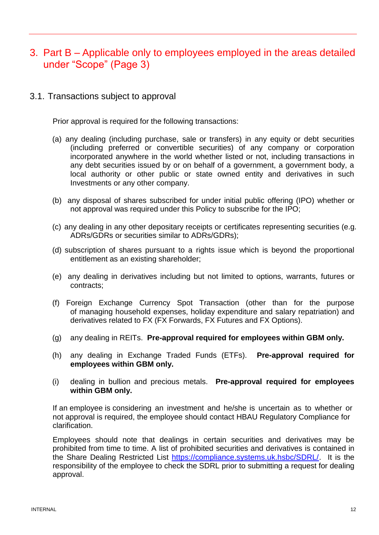## <span id="page-12-0"></span>3. Part B – Applicable only to employees employed in the areas detailed under "Scope" (Page 3)

<span id="page-12-1"></span>3.1. Transactions subject to approval

Prior approval is required for the following transactions:

- (a) any dealing (including purchase, sale or transfers) in any equity or debt securities (including preferred or convertible securities) of any company or corporation incorporated anywhere in the world whether listed or not, including transactions in any debt securities issued by or on behalf of a government, a government body, a local authority or other public or state owned entity and derivatives in such Investments or any other company.
- (b) any disposal of shares subscribed for under initial public offering (IPO) whether or not approval was required under this Policy to subscribe for the IPO;
- (c) any dealing in any other depositary receipts or certificates representing securities (e.g. ADRs/GDRs or securities similar to ADRs/GDRs);
- (d) subscription of shares pursuant to a rights issue which is beyond the proportional entitlement as an existing shareholder;
- (e) any dealing in derivatives including but not limited to options, warrants, futures or contracts;
- (f) Foreign Exchange Currency Spot Transaction (other than for the purpose of managing household expenses, holiday expenditure and salary repatriation) and derivatives related to FX (FX Forwards, FX Futures and FX Options).
- (g) any dealing in REITs. **Pre-approval required for employees within GBM only.**
- (h) any dealing in Exchange Traded Funds (ETFs). **Pre-approval required for employees within GBM only.**
- (i) dealing in bullion and precious metals. **Pre-approval required for employees within GBM only.**

If an employee is considering an investment and he/she is uncertain as to whether or not approval is required, the employee should contact HBAU Regulatory Compliance for clarification.

Employees should note that dealings in certain securities and derivatives may be prohibited from time to time. A list of prohibited securities and derivatives is contained in the Share Dealing Restricted List [https://compliance.systems.uk.hsbc/SDRL/.](https://compliance.systems.uk.hsbc/SDRL/) It is the responsibility of the employee to check the SDRL prior to submitting a request for dealing approval.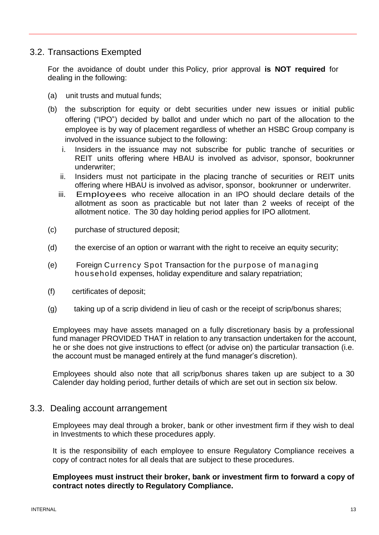#### <span id="page-13-0"></span>3.2. Transactions Exempted

For the avoidance of doubt under this Policy, prior approval **is NOT required** for dealing in the following:

- (a) unit trusts and mutual funds;
- (b) the subscription for equity or debt securities under new issues or initial public offering ("IPO") decided by ballot and under which no part of the allocation to the employee is by way of placement regardless of whether an HSBC Group company is involved in the issuance subject to the following:
	- i. Insiders in the issuance may not subscribe for public tranche of securities or REIT units offering where HBAU is involved as advisor, sponsor, bookrunner underwriter;
	- ii. Insiders must not participate in the placing tranche of securities or REIT units offering where HBAU is involved as advisor, sponsor, bookrunner or underwriter.
	- iii. Employees who receive allocation in an IPO should declare details of the allotment as soon as practicable but not later than 2 weeks of receipt of the allotment notice. The 30 day holding period applies for IPO allotment.
- (c) purchase of structured deposit;
- (d) the exercise of an option or warrant with the right to receive an equity security;
- (e) Foreign Currency Spot Transaction for the purpose of managing household expenses, holiday expenditure and salary repatriation;
- (f) certificates of deposit;
- (g) taking up of a scrip dividend in lieu of cash or the receipt of scrip/bonus shares;

Employees may have assets managed on a fully discretionary basis by a professional fund manager PROVIDED THAT in relation to any transaction undertaken for the account, he or she does not give instructions to effect (or advise on) the particular transaction (i.e. the account must be managed entirely at the fund manager's discretion).

Employees should also note that all scrip/bonus shares taken up are subject to a 30 Calender day holding period, further details of which are set out in section six below.

#### <span id="page-13-1"></span>3.3. Dealing account arrangement

Employees may deal through a broker, bank or other investment firm if they wish to deal in Investments to which these procedures apply.

It is the responsibility of each employee to ensure Regulatory Compliance receives a copy of contract notes for all deals that are subject to these procedures.

#### **Employees must instruct their broker, bank or investment firm to forward a copy of contract notes directly to Regulatory Compliance.**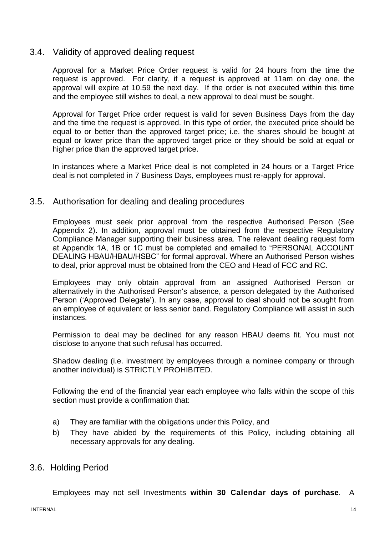#### 3.4. Validity of approved dealing request

<span id="page-14-0"></span>Approval for a Market Price Order request is valid for 24 hours from the time the request is approved. For clarity, if a request is approved at 11am on day one, the approval will expire at 10.59 the next day. If the order is not executed within this time and the employee still wishes to deal, a new approval to deal must be sought.

Approval for Target Price order request is valid for seven Business Days from the day and the time the request is approved. In this type of order, the executed price should be equal to or better than the approved target price; i.e. the shares should be bought at equal or lower price than the approved target price or they should be sold at equal or higher price than the approved target price.

In instances where a Market Price deal is not completed in 24 hours or a Target Price deal is not completed in 7 Business Days, employees must re-apply for approval.

#### <span id="page-14-1"></span>3.5. Authorisation for dealing and dealing procedures

Employees must seek prior approval from the respective Authorised Person (See Appendix 2). In addition, approval must be obtained from the respective Regulatory Compliance Manager supporting their business area. The relevant dealing request form at Appendix 1A, 1B or 1C must be completed and emailed to "PERSONAL ACCOUNT DEALING HBAU/HBAU/HSBC" for formal approval. Where an Authorised Person wishes to deal, prior approval must be obtained from the CEO and Head of FCC and RC.

Employees may only obtain approval from an assigned Authorised Person or alternatively in the Authorised Person's absence, a person delegated by the Authorised Person ('Approved Delegate'). In any case, approval to deal should not be sought from an employee of equivalent or less senior band. Regulatory Compliance will assist in such instances.

Permission to deal may be declined for any reason HBAU deems fit. You must not disclose to anyone that such refusal has occurred.

Shadow dealing (i.e. investment by employees through a nominee company or through another individual) is STRICTLY PROHIBITED.

Following the end of the financial year each employee who falls within the scope of this section must provide a confirmation that:

- a) They are familiar with the obligations under this Policy, and
- b) They have abided by the requirements of this Policy, including obtaining all necessary approvals for any dealing.

#### <span id="page-14-2"></span>3.6. Holding Period

Employees may not sell Investments **within 30 Calendar days of purchase**. A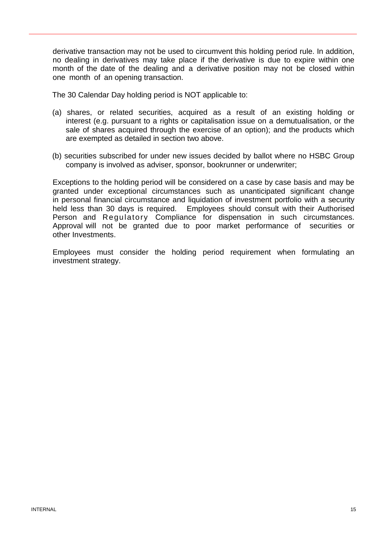derivative transaction may not be used to circumvent this holding period rule. In addition, no dealing in derivatives may take place if the derivative is due to expire within one month of the date of the dealing and a derivative position may not be closed within one month of an opening transaction.

The 30 Calendar Day holding period is NOT applicable to:

- (a) shares, or related securities, acquired as a result of an existing holding or interest (e.g. pursuant to a rights or capitalisation issue on a demutualisation, or the sale of shares acquired through the exercise of an option); and the products which are exempted as detailed in section two above.
- (b) securities subscribed for under new issues decided by ballot where no HSBC Group company is involved as adviser, sponsor, bookrunner or underwriter;

Exceptions to the holding period will be considered on a case by case basis and may be granted under exceptional circumstances such as unanticipated significant change in personal financial circumstance and liquidation of investment portfolio with a security held less than 30 days is required. Employees should consult with their Authorised Person and Regulatory Compliance for dispensation in such circumstances. Approval will not be granted due to poor market performance of securities or other Investments.

Employees must consider the holding period requirement when formulating an investment strategy.